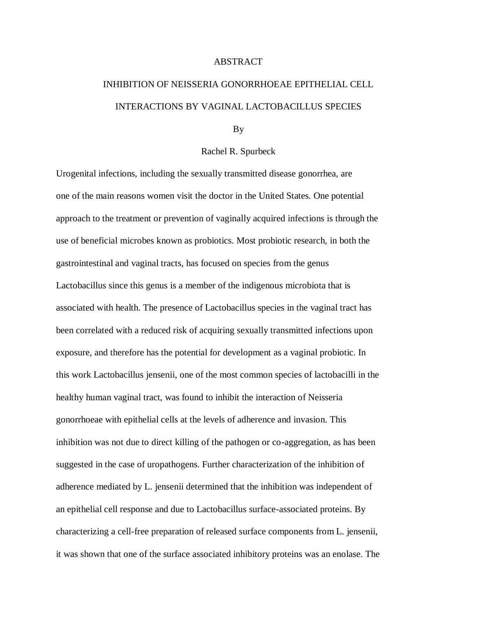## ABSTRACT

## INHIBITION OF NEISSERIA GONORRHOEAE EPITHELIAL CELL INTERACTIONS BY VAGINAL LACTOBACILLUS SPECIES

## By

## Rachel R. Spurbeck

Urogenital infections, including the sexually transmitted disease gonorrhea, are one of the main reasons women visit the doctor in the United States. One potential approach to the treatment or prevention of vaginally acquired infections is through the use of beneficial microbes known as probiotics. Most probiotic research, in both the gastrointestinal and vaginal tracts, has focused on species from the genus Lactobacillus since this genus is a member of the indigenous microbiota that is associated with health. The presence of Lactobacillus species in the vaginal tract has been correlated with a reduced risk of acquiring sexually transmitted infections upon exposure, and therefore has the potential for development as a vaginal probiotic. In this work Lactobacillus jensenii, one of the most common species of lactobacilli in the healthy human vaginal tract, was found to inhibit the interaction of Neisseria gonorrhoeae with epithelial cells at the levels of adherence and invasion. This inhibition was not due to direct killing of the pathogen or co-aggregation, as has been suggested in the case of uropathogens. Further characterization of the inhibition of adherence mediated by L. jensenii determined that the inhibition was independent of an epithelial cell response and due to Lactobacillus surface-associated proteins. By characterizing a cell-free preparation of released surface components from L. jensenii, it was shown that one of the surface associated inhibitory proteins was an enolase. The